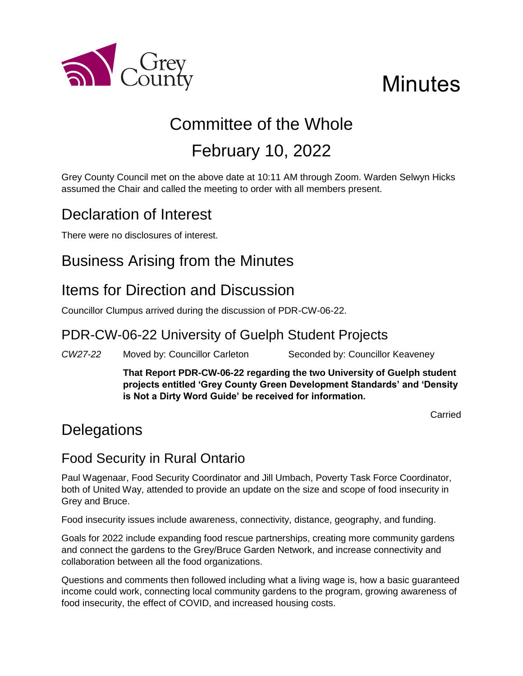

# **Minutes**

## Committee of the Whole February 10, 2022

Grey County Council met on the above date at 10:11 AM through Zoom. Warden Selwyn Hicks assumed the Chair and called the meeting to order with all members present.

## Declaration of Interest

There were no disclosures of interest.

## Business Arising from the Minutes

## Items for Direction and Discussion

Councillor Clumpus arrived during the discussion of PDR-CW-06-22.

#### PDR-CW-06-22 University of Guelph Student Projects

*CW27-22* Moved by: Councillor Carleton Seconded by: Councillor Keaveney

**That Report PDR-CW-06-22 regarding the two University of Guelph student projects entitled 'Grey County Green Development Standards' and 'Density is Not a Dirty Word Guide' be received for information.** 

Carried

## **Delegations**

#### Food Security in Rural Ontario

Paul Wagenaar, Food Security Coordinator and Jill Umbach, Poverty Task Force Coordinator, both of United Way, attended to provide an update on the size and scope of food insecurity in Grey and Bruce.

Food insecurity issues include awareness, connectivity, distance, geography, and funding.

Goals for 2022 include expanding food rescue partnerships, creating more community gardens and connect the gardens to the Grey/Bruce Garden Network, and increase connectivity and collaboration between all the food organizations.

Questions and comments then followed including what a living wage is, how a basic guaranteed income could work, connecting local community gardens to the program, growing awareness of food insecurity, the effect of COVID, and increased housing costs.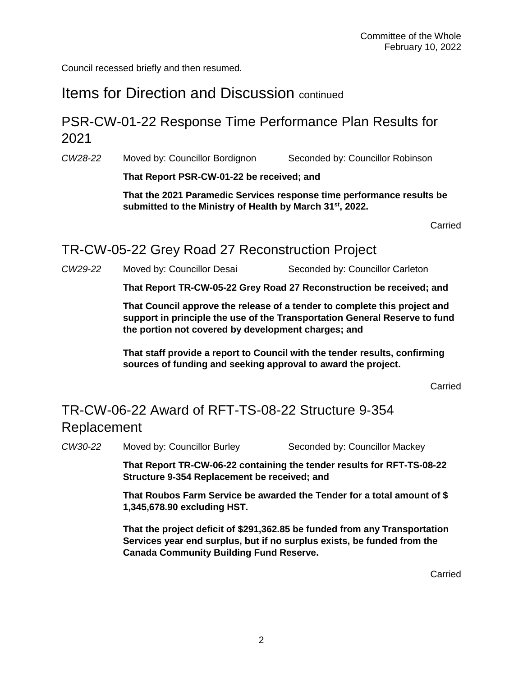Council recessed briefly and then resumed.

## Items for Direction and Discussion continued

#### PSR-CW-01-22 Response Time Performance Plan Results for 2021

*CW28-22* Moved by: Councillor Bordignon Seconded by: Councillor Robinson

**That Report PSR-CW-01-22 be received; and** 

**That the 2021 Paramedic Services response time performance results be submitted to the Ministry of Health by March 31 st, 2022.**

Carried

#### TR-CW-05-22 Grey Road 27 Reconstruction Project

*CW29-22* Moved by: Councillor Desai Seconded by: Councillor Carleton

**That Report TR-CW-05-22 Grey Road 27 Reconstruction be received; and**

**That Council approve the release of a tender to complete this project and support in principle the use of the Transportation General Reserve to fund the portion not covered by development charges; and** 

**That staff provide a report to Council with the tender results, confirming sources of funding and seeking approval to award the project.**

Carried

## TR-CW-06-22 Award of RFT-TS-08-22 Structure 9‐354 Replacement

*CW30-22* Moved by: Councillor Burley Seconded by: Councillor Mackey

**That Report TR-CW-06-22 containing the tender results for RFT-TS-08-22 Structure 9**‐**354 Replacement be received; and**

**That Roubos Farm Service be awarded the Tender for a total amount of \$ 1,345,678.90 excluding HST.**

**That the project deficit of \$291,362.85 be funded from any Transportation Services year end surplus, but if no surplus exists, be funded from the Canada Community Building Fund Reserve.**

Carried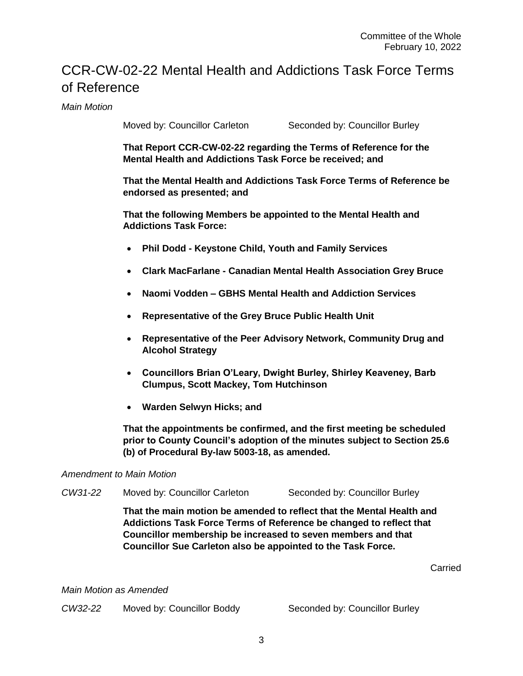### CCR-CW-02-22 Mental Health and Addictions Task Force Terms of Reference

*Main Motion*

Moved by: Councillor Carleton Seconded by: Councillor Burley

**That Report CCR-CW-02-22 regarding the Terms of Reference for the Mental Health and Addictions Task Force be received; and**

**That the Mental Health and Addictions Task Force Terms of Reference be endorsed as presented; and**

**That the following Members be appointed to the Mental Health and Addictions Task Force:**

- **Phil Dodd - Keystone Child, Youth and Family Services**
- **Clark MacFarlane - Canadian Mental Health Association Grey Bruce**
- **Naomi Vodden – GBHS Mental Health and Addiction Services**
- **Representative of the Grey Bruce Public Health Unit**
- **Representative of the Peer Advisory Network, Community Drug and Alcohol Strategy**
- **Councillors Brian O'Leary, Dwight Burley, Shirley Keaveney, Barb Clumpus, Scott Mackey, Tom Hutchinson**
- **Warden Selwyn Hicks; and**

**That the appointments be confirmed, and the first meeting be scheduled prior to County Council's adoption of the minutes subject to Section 25.6 (b) of Procedural By-law 5003-18, as amended.** 

#### *Amendment to Main Motion*

*CW31-22* Moved by: Councillor Carleton Seconded by: Councillor Burley

**That the main motion be amended to reflect that the Mental Health and Addictions Task Force Terms of Reference be changed to reflect that Councillor membership be increased to seven members and that Councillor Sue Carleton also be appointed to the Task Force.**

Carried

*Main Motion as Amended*

*CW32-22* Moved by: Councillor Boddy Seconded by: Councillor Burley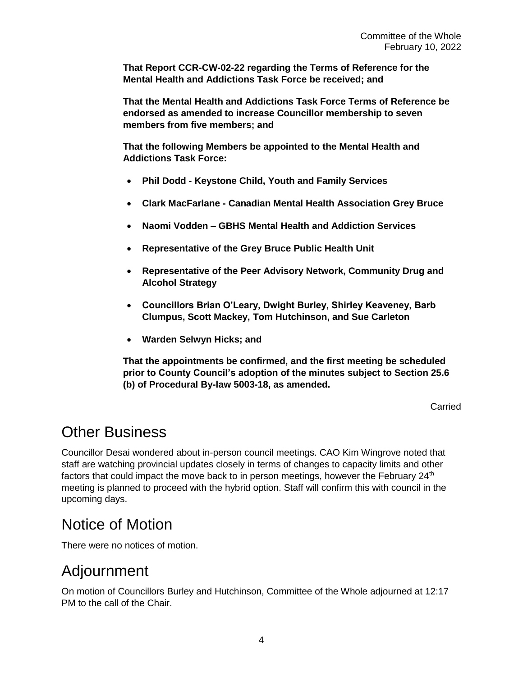**That Report CCR-CW-02-22 regarding the Terms of Reference for the Mental Health and Addictions Task Force be received; and**

**That the Mental Health and Addictions Task Force Terms of Reference be endorsed as amended to increase Councillor membership to seven members from five members; and**

**That the following Members be appointed to the Mental Health and Addictions Task Force:**

- **Phil Dodd - Keystone Child, Youth and Family Services**
- **Clark MacFarlane - Canadian Mental Health Association Grey Bruce**
- **Naomi Vodden – GBHS Mental Health and Addiction Services**
- **Representative of the Grey Bruce Public Health Unit**
- **Representative of the Peer Advisory Network, Community Drug and Alcohol Strategy**
- **Councillors Brian O'Leary, Dwight Burley, Shirley Keaveney, Barb Clumpus, Scott Mackey, Tom Hutchinson, and Sue Carleton**
- **Warden Selwyn Hicks; and**

**That the appointments be confirmed, and the first meeting be scheduled prior to County Council's adoption of the minutes subject to Section 25.6 (b) of Procedural By-law 5003-18, as amended.** 

Carried

## Other Business

Councillor Desai wondered about in-person council meetings. CAO Kim Wingrove noted that staff are watching provincial updates closely in terms of changes to capacity limits and other factors that could impact the move back to in person meetings, however the February  $24<sup>th</sup>$ meeting is planned to proceed with the hybrid option. Staff will confirm this with council in the upcoming days.

## Notice of Motion

There were no notices of motion.

## Adjournment

On motion of Councillors Burley and Hutchinson, Committee of the Whole adjourned at 12:17 PM to the call of the Chair.